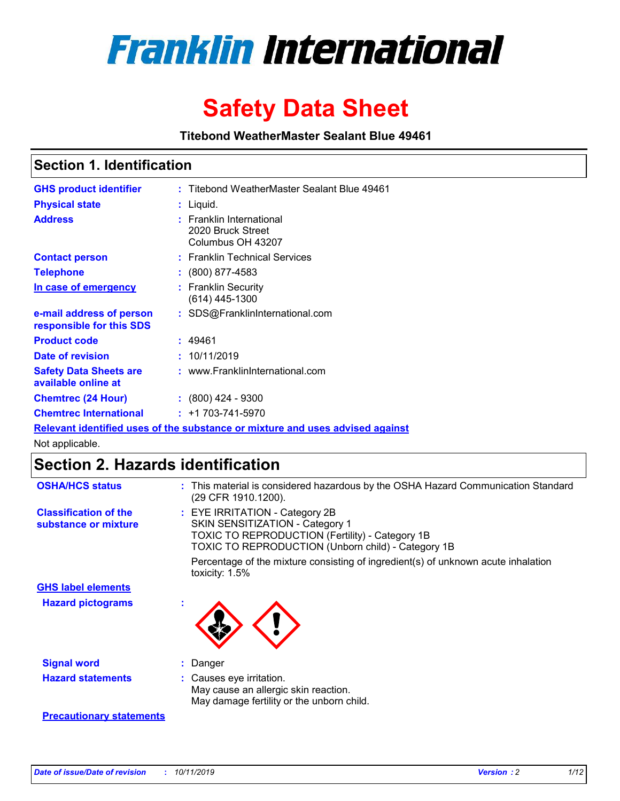

# **Safety Data Sheet**

**Titebond WeatherMaster Sealant Blue 49461**

### **Section 1. Identification**

| <b>GHS product identifier</b>                        | : Titebond WeatherMaster Sealant Blue 49461                                   |
|------------------------------------------------------|-------------------------------------------------------------------------------|
| <b>Physical state</b>                                | : Liquid.                                                                     |
| <b>Address</b>                                       | : Franklin International<br>2020 Bruck Street<br>Columbus OH 43207            |
| <b>Contact person</b>                                | : Franklin Technical Services                                                 |
| <b>Telephone</b>                                     | $\colon$ (800) 877-4583                                                       |
| In case of emergency                                 | : Franklin Security<br>(614) 445-1300                                         |
| e-mail address of person<br>responsible for this SDS | : SDS@FranklinInternational.com                                               |
| <b>Product code</b>                                  | : 49461                                                                       |
| Date of revision                                     | : 10/11/2019                                                                  |
| <b>Safety Data Sheets are</b><br>available online at | : www.FranklinInternational.com                                               |
| <b>Chemtrec (24 Hour)</b>                            | $: (800)$ 424 - 9300                                                          |
| <b>Chemtrec International</b>                        | $: +1703 - 741 - 5970$                                                        |
|                                                      | Relevant identified uses of the substance or mixture and uses advised against |

Not applicable.

## **Section 2. Hazards identification**

| <b>OSHA/HCS status</b>                               | : This material is considered hazardous by the OSHA Hazard Communication Standard<br>(29 CFR 1910.1200).                                                                                 |
|------------------------------------------------------|------------------------------------------------------------------------------------------------------------------------------------------------------------------------------------------|
| <b>Classification of the</b><br>substance or mixture | : EYE IRRITATION - Category 2B<br>SKIN SENSITIZATION - Category 1<br><b>TOXIC TO REPRODUCTION (Fertility) - Category 1B</b><br><b>TOXIC TO REPRODUCTION (Unborn child) - Category 1B</b> |
|                                                      | Percentage of the mixture consisting of ingredient(s) of unknown acute inhalation<br>toxicity: $1.5\%$                                                                                   |
| <b>GHS label elements</b>                            |                                                                                                                                                                                          |
| <b>Hazard pictograms</b>                             |                                                                                                                                                                                          |
| <b>Signal word</b>                                   | : Danger                                                                                                                                                                                 |
| <b>Hazard statements</b>                             | : Causes eye irritation.<br>May cause an allergic skin reaction.<br>May damage fertility or the unborn child.                                                                            |
| <b>Precautionary statements</b>                      |                                                                                                                                                                                          |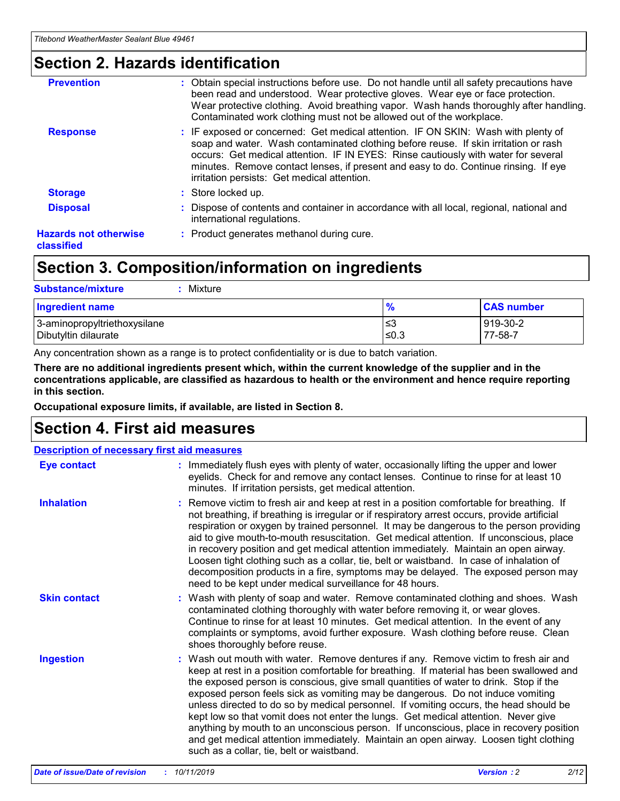### **Section 2. Hazards identification**

| <b>Prevention</b>                          | : Obtain special instructions before use. Do not handle until all safety precautions have<br>been read and understood. Wear protective gloves. Wear eye or face protection.<br>Wear protective clothing. Avoid breathing vapor. Wash hands thoroughly after handling.<br>Contaminated work clothing must not be allowed out of the workplace.                                                        |
|--------------------------------------------|------------------------------------------------------------------------------------------------------------------------------------------------------------------------------------------------------------------------------------------------------------------------------------------------------------------------------------------------------------------------------------------------------|
| <b>Response</b>                            | : IF exposed or concerned: Get medical attention. IF ON SKIN: Wash with plenty of<br>soap and water. Wash contaminated clothing before reuse. If skin irritation or rash<br>occurs: Get medical attention. IF IN EYES: Rinse cautiously with water for several<br>minutes. Remove contact lenses, if present and easy to do. Continue rinsing. If eye<br>irritation persists: Get medical attention. |
| <b>Storage</b>                             | : Store locked up.                                                                                                                                                                                                                                                                                                                                                                                   |
| <b>Disposal</b>                            | : Dispose of contents and container in accordance with all local, regional, national and<br>international regulations.                                                                                                                                                                                                                                                                               |
| <b>Hazards not otherwise</b><br>classified | : Product generates methanol during cure.                                                                                                                                                                                                                                                                                                                                                            |
|                                            |                                                                                                                                                                                                                                                                                                                                                                                                      |

### **Section 3. Composition/information on ingredients**

| <b>Substance/mixture</b><br>: Mixture                |               |                     |
|------------------------------------------------------|---------------|---------------------|
| Ingredient name                                      | $\frac{9}{6}$ | <b>CAS number</b>   |
| 3-aminopropyltriethoxysilane<br>Dibutyltin dilaurate | צ≥<br>≤0.3    | 919-30-2<br>77-58-7 |

Any concentration shown as a range is to protect confidentiality or is due to batch variation.

**There are no additional ingredients present which, within the current knowledge of the supplier and in the concentrations applicable, are classified as hazardous to health or the environment and hence require reporting in this section.**

**Occupational exposure limits, if available, are listed in Section 8.**

### **Section 4. First aid measures**

| <b>Description of necessary first aid measures</b> |                                                                                                                                                                                                                                                                                                                                                                                                                                                                                                                                                                                                                                                                                                                                                                           |  |  |  |
|----------------------------------------------------|---------------------------------------------------------------------------------------------------------------------------------------------------------------------------------------------------------------------------------------------------------------------------------------------------------------------------------------------------------------------------------------------------------------------------------------------------------------------------------------------------------------------------------------------------------------------------------------------------------------------------------------------------------------------------------------------------------------------------------------------------------------------------|--|--|--|
| <b>Eye contact</b>                                 | : Immediately flush eyes with plenty of water, occasionally lifting the upper and lower<br>eyelids. Check for and remove any contact lenses. Continue to rinse for at least 10<br>minutes. If irritation persists, get medical attention.                                                                                                                                                                                                                                                                                                                                                                                                                                                                                                                                 |  |  |  |
| <b>Inhalation</b>                                  | : Remove victim to fresh air and keep at rest in a position comfortable for breathing. If<br>not breathing, if breathing is irregular or if respiratory arrest occurs, provide artificial<br>respiration or oxygen by trained personnel. It may be dangerous to the person providing<br>aid to give mouth-to-mouth resuscitation. Get medical attention. If unconscious, place<br>in recovery position and get medical attention immediately. Maintain an open airway.<br>Loosen tight clothing such as a collar, tie, belt or waistband. In case of inhalation of<br>decomposition products in a fire, symptoms may be delayed. The exposed person may<br>need to be kept under medical surveillance for 48 hours.                                                       |  |  |  |
| <b>Skin contact</b>                                | : Wash with plenty of soap and water. Remove contaminated clothing and shoes. Wash<br>contaminated clothing thoroughly with water before removing it, or wear gloves.<br>Continue to rinse for at least 10 minutes. Get medical attention. In the event of any<br>complaints or symptoms, avoid further exposure. Wash clothing before reuse. Clean<br>shoes thoroughly before reuse.                                                                                                                                                                                                                                                                                                                                                                                     |  |  |  |
| <b>Ingestion</b>                                   | : Wash out mouth with water. Remove dentures if any. Remove victim to fresh air and<br>keep at rest in a position comfortable for breathing. If material has been swallowed and<br>the exposed person is conscious, give small quantities of water to drink. Stop if the<br>exposed person feels sick as vomiting may be dangerous. Do not induce vomiting<br>unless directed to do so by medical personnel. If vomiting occurs, the head should be<br>kept low so that vomit does not enter the lungs. Get medical attention. Never give<br>anything by mouth to an unconscious person. If unconscious, place in recovery position<br>and get medical attention immediately. Maintain an open airway. Loosen tight clothing<br>such as a collar, tie, belt or waistband. |  |  |  |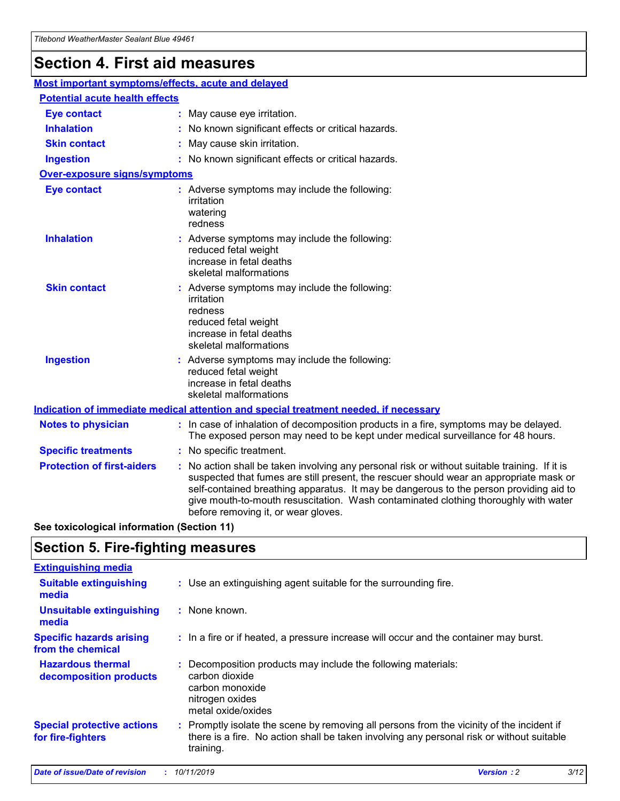### **Section 4. First aid measures**

| Most important symptoms/effects, acute and delayed |  |                                                                                                                                                                                                                                                                                                                                                                                                                 |  |
|----------------------------------------------------|--|-----------------------------------------------------------------------------------------------------------------------------------------------------------------------------------------------------------------------------------------------------------------------------------------------------------------------------------------------------------------------------------------------------------------|--|
| <b>Potential acute health effects</b>              |  |                                                                                                                                                                                                                                                                                                                                                                                                                 |  |
| <b>Eye contact</b>                                 |  | : May cause eye irritation.                                                                                                                                                                                                                                                                                                                                                                                     |  |
| <b>Inhalation</b>                                  |  | : No known significant effects or critical hazards.                                                                                                                                                                                                                                                                                                                                                             |  |
| <b>Skin contact</b>                                |  | : May cause skin irritation.                                                                                                                                                                                                                                                                                                                                                                                    |  |
| <b>Ingestion</b>                                   |  | : No known significant effects or critical hazards.                                                                                                                                                                                                                                                                                                                                                             |  |
| Over-exposure signs/symptoms                       |  |                                                                                                                                                                                                                                                                                                                                                                                                                 |  |
| <b>Eye contact</b>                                 |  | : Adverse symptoms may include the following:<br>irritation<br>watering<br>redness                                                                                                                                                                                                                                                                                                                              |  |
| <b>Inhalation</b>                                  |  | : Adverse symptoms may include the following:<br>reduced fetal weight<br>increase in fetal deaths<br>skeletal malformations                                                                                                                                                                                                                                                                                     |  |
| <b>Skin contact</b>                                |  | : Adverse symptoms may include the following:<br>irritation<br>redness<br>reduced fetal weight<br>increase in fetal deaths<br>skeletal malformations                                                                                                                                                                                                                                                            |  |
| <b>Ingestion</b>                                   |  | : Adverse symptoms may include the following:<br>reduced fetal weight<br>increase in fetal deaths<br>skeletal malformations                                                                                                                                                                                                                                                                                     |  |
|                                                    |  | <b>Indication of immediate medical attention and special treatment needed, if necessary</b>                                                                                                                                                                                                                                                                                                                     |  |
| <b>Notes to physician</b>                          |  | : In case of inhalation of decomposition products in a fire, symptoms may be delayed.<br>The exposed person may need to be kept under medical surveillance for 48 hours.                                                                                                                                                                                                                                        |  |
| <b>Specific treatments</b>                         |  | : No specific treatment.                                                                                                                                                                                                                                                                                                                                                                                        |  |
| <b>Protection of first-aiders</b>                  |  | : No action shall be taken involving any personal risk or without suitable training. If it is<br>suspected that fumes are still present, the rescuer should wear an appropriate mask or<br>self-contained breathing apparatus. It may be dangerous to the person providing aid to<br>give mouth-to-mouth resuscitation. Wash contaminated clothing thoroughly with water<br>before removing it, or wear gloves. |  |

**See toxicological information (Section 11)**

### **Section 5. Fire-fighting measures**

| <b>Extinguishing media</b>                             |                                                                                                                                                                                                     |
|--------------------------------------------------------|-----------------------------------------------------------------------------------------------------------------------------------------------------------------------------------------------------|
| <b>Suitable extinguishing</b><br>media                 | : Use an extinguishing agent suitable for the surrounding fire.                                                                                                                                     |
| <b>Unsuitable extinguishing</b><br>media               | : None known.                                                                                                                                                                                       |
| <b>Specific hazards arising</b><br>from the chemical   | : In a fire or if heated, a pressure increase will occur and the container may burst.                                                                                                               |
| <b>Hazardous thermal</b><br>decomposition products     | : Decomposition products may include the following materials:<br>carbon dioxide<br>carbon monoxide<br>nitrogen oxides<br>metal oxide/oxides                                                         |
| <b>Special protective actions</b><br>for fire-fighters | : Promptly isolate the scene by removing all persons from the vicinity of the incident if<br>there is a fire. No action shall be taken involving any personal risk or without suitable<br>training. |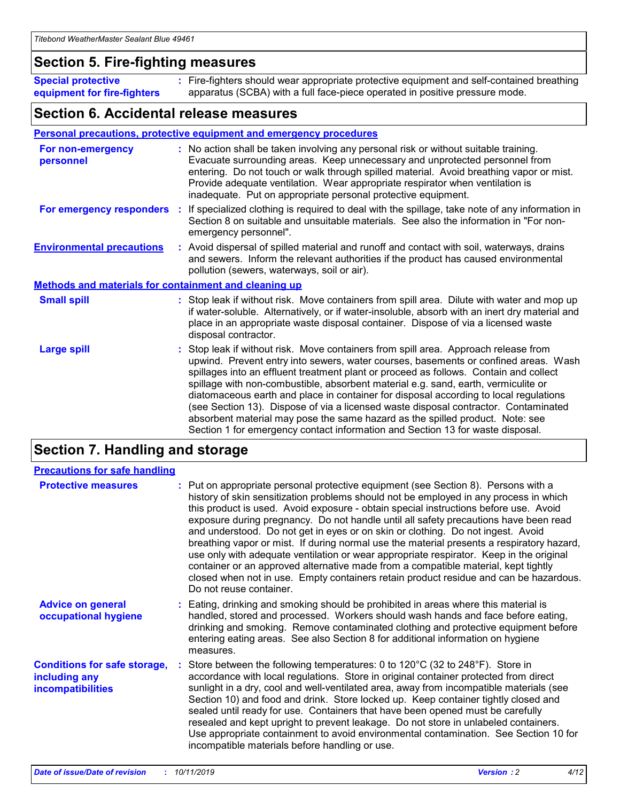### **Section 5. Fire-fighting measures**

**Special protective equipment for fire-fighters** Fire-fighters should wear appropriate protective equipment and self-contained breathing **:** apparatus (SCBA) with a full face-piece operated in positive pressure mode.

### **Section 6. Accidental release measures**

#### **Personal precautions, protective equipment and emergency procedures**

| For non-emergency<br>personnel                               |  | : No action shall be taken involving any personal risk or without suitable training.<br>Evacuate surrounding areas. Keep unnecessary and unprotected personnel from<br>entering. Do not touch or walk through spilled material. Avoid breathing vapor or mist.<br>Provide adequate ventilation. Wear appropriate respirator when ventilation is<br>inadequate. Put on appropriate personal protective equipment.                                                                                                                                                                                                                                                                                             |  |  |
|--------------------------------------------------------------|--|--------------------------------------------------------------------------------------------------------------------------------------------------------------------------------------------------------------------------------------------------------------------------------------------------------------------------------------------------------------------------------------------------------------------------------------------------------------------------------------------------------------------------------------------------------------------------------------------------------------------------------------------------------------------------------------------------------------|--|--|
|                                                              |  | For emergency responders : If specialized clothing is required to deal with the spillage, take note of any information in<br>Section 8 on suitable and unsuitable materials. See also the information in "For non-<br>emergency personnel".                                                                                                                                                                                                                                                                                                                                                                                                                                                                  |  |  |
| <b>Environmental precautions</b>                             |  | : Avoid dispersal of spilled material and runoff and contact with soil, waterways, drains<br>and sewers. Inform the relevant authorities if the product has caused environmental<br>pollution (sewers, waterways, soil or air).                                                                                                                                                                                                                                                                                                                                                                                                                                                                              |  |  |
| <b>Methods and materials for containment and cleaning up</b> |  |                                                                                                                                                                                                                                                                                                                                                                                                                                                                                                                                                                                                                                                                                                              |  |  |
| <b>Small spill</b>                                           |  | : Stop leak if without risk. Move containers from spill area. Dilute with water and mop up<br>if water-soluble. Alternatively, or if water-insoluble, absorb with an inert dry material and<br>place in an appropriate waste disposal container. Dispose of via a licensed waste<br>disposal contractor.                                                                                                                                                                                                                                                                                                                                                                                                     |  |  |
| <b>Large spill</b>                                           |  | : Stop leak if without risk. Move containers from spill area. Approach release from<br>upwind. Prevent entry into sewers, water courses, basements or confined areas. Wash<br>spillages into an effluent treatment plant or proceed as follows. Contain and collect<br>spillage with non-combustible, absorbent material e.g. sand, earth, vermiculite or<br>diatomaceous earth and place in container for disposal according to local regulations<br>(see Section 13). Dispose of via a licensed waste disposal contractor. Contaminated<br>absorbent material may pose the same hazard as the spilled product. Note: see<br>Section 1 for emergency contact information and Section 13 for waste disposal. |  |  |

### **Section 7. Handling and storage**

| <b>Precautions for safe handling</b>                                             |                                                                                                                                                                                                                                                                                                                                                                                                                                                                                                                                                                                                                                                                                                                                                                                                                                                  |
|----------------------------------------------------------------------------------|--------------------------------------------------------------------------------------------------------------------------------------------------------------------------------------------------------------------------------------------------------------------------------------------------------------------------------------------------------------------------------------------------------------------------------------------------------------------------------------------------------------------------------------------------------------------------------------------------------------------------------------------------------------------------------------------------------------------------------------------------------------------------------------------------------------------------------------------------|
| <b>Protective measures</b>                                                       | : Put on appropriate personal protective equipment (see Section 8). Persons with a<br>history of skin sensitization problems should not be employed in any process in which<br>this product is used. Avoid exposure - obtain special instructions before use. Avoid<br>exposure during pregnancy. Do not handle until all safety precautions have been read<br>and understood. Do not get in eyes or on skin or clothing. Do not ingest. Avoid<br>breathing vapor or mist. If during normal use the material presents a respiratory hazard,<br>use only with adequate ventilation or wear appropriate respirator. Keep in the original<br>container or an approved alternative made from a compatible material, kept tightly<br>closed when not in use. Empty containers retain product residue and can be hazardous.<br>Do not reuse container. |
| <b>Advice on general</b><br>occupational hygiene                                 | : Eating, drinking and smoking should be prohibited in areas where this material is<br>handled, stored and processed. Workers should wash hands and face before eating,<br>drinking and smoking. Remove contaminated clothing and protective equipment before<br>entering eating areas. See also Section 8 for additional information on hygiene<br>measures.                                                                                                                                                                                                                                                                                                                                                                                                                                                                                    |
| <b>Conditions for safe storage,</b><br>including any<br><b>incompatibilities</b> | Store between the following temperatures: 0 to 120 $\degree$ C (32 to 248 $\degree$ F). Store in<br>accordance with local regulations. Store in original container protected from direct<br>sunlight in a dry, cool and well-ventilated area, away from incompatible materials (see<br>Section 10) and food and drink. Store locked up. Keep container tightly closed and<br>sealed until ready for use. Containers that have been opened must be carefully<br>resealed and kept upright to prevent leakage. Do not store in unlabeled containers.<br>Use appropriate containment to avoid environmental contamination. See Section 10 for<br>incompatible materials before handling or use.                                                                                                                                                     |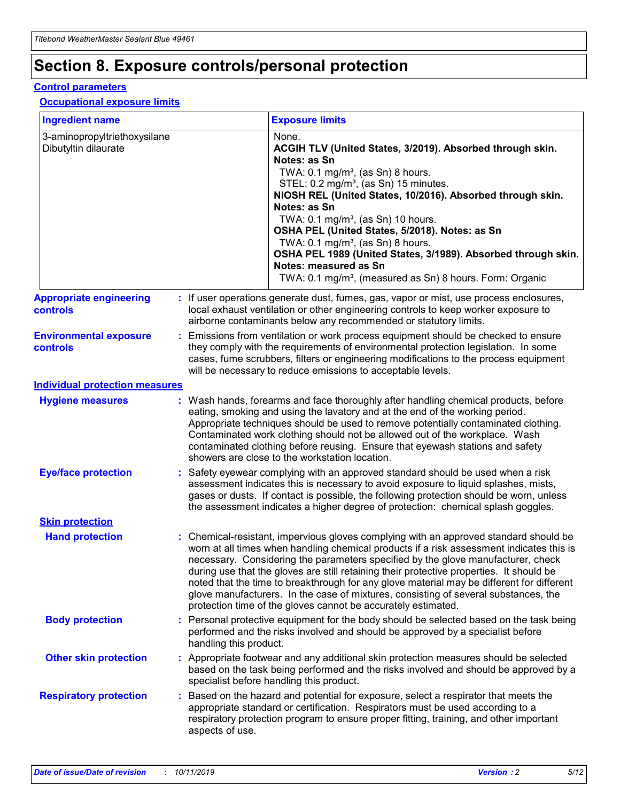## **Section 8. Exposure controls/personal protection**

#### **Control parameters**

#### **Occupational exposure limits**

| <b>Ingredient name</b>                               |    |                        | <b>Exposure limits</b>                                                                                                                                                                                                                                                                                                                                                                                                                                                                                                                                                                                                 |
|------------------------------------------------------|----|------------------------|------------------------------------------------------------------------------------------------------------------------------------------------------------------------------------------------------------------------------------------------------------------------------------------------------------------------------------------------------------------------------------------------------------------------------------------------------------------------------------------------------------------------------------------------------------------------------------------------------------------------|
| 3-aminopropyltriethoxysilane<br>Dibutyltin dilaurate |    |                        | None.<br>ACGIH TLV (United States, 3/2019). Absorbed through skin.<br>Notes: as Sn<br>TWA: 0.1 mg/m <sup>3</sup> , (as Sn) 8 hours.<br>STEL: 0.2 mg/m <sup>3</sup> , (as Sn) 15 minutes.<br>NIOSH REL (United States, 10/2016). Absorbed through skin.<br>Notes: as Sn<br>TWA: 0.1 mg/m <sup>3</sup> , (as Sn) 10 hours.<br>OSHA PEL (United States, 5/2018). Notes: as Sn<br>TWA: $0.1 \text{ mg/m}^3$ , (as Sn) 8 hours.<br>OSHA PEL 1989 (United States, 3/1989). Absorbed through skin.<br>Notes: measured as Sn<br>TWA: 0.1 mg/m <sup>3</sup> , (measured as Sn) 8 hours. Form: Organic                           |
| <b>Appropriate engineering</b><br>controls           |    |                        | : If user operations generate dust, fumes, gas, vapor or mist, use process enclosures,<br>local exhaust ventilation or other engineering controls to keep worker exposure to<br>airborne contaminants below any recommended or statutory limits.                                                                                                                                                                                                                                                                                                                                                                       |
| <b>Environmental exposure</b><br><b>controls</b>     |    |                        | Emissions from ventilation or work process equipment should be checked to ensure<br>they comply with the requirements of environmental protection legislation. In some<br>cases, fume scrubbers, filters or engineering modifications to the process equipment<br>will be necessary to reduce emissions to acceptable levels.                                                                                                                                                                                                                                                                                          |
| <b>Individual protection measures</b>                |    |                        |                                                                                                                                                                                                                                                                                                                                                                                                                                                                                                                                                                                                                        |
| <b>Hygiene measures</b>                              |    |                        | : Wash hands, forearms and face thoroughly after handling chemical products, before<br>eating, smoking and using the lavatory and at the end of the working period.<br>Appropriate techniques should be used to remove potentially contaminated clothing.<br>Contaminated work clothing should not be allowed out of the workplace. Wash<br>contaminated clothing before reusing. Ensure that eyewash stations and safety<br>showers are close to the workstation location.                                                                                                                                            |
| <b>Eye/face protection</b>                           |    |                        | : Safety eyewear complying with an approved standard should be used when a risk<br>assessment indicates this is necessary to avoid exposure to liquid splashes, mists,<br>gases or dusts. If contact is possible, the following protection should be worn, unless<br>the assessment indicates a higher degree of protection: chemical splash goggles.                                                                                                                                                                                                                                                                  |
| <b>Skin protection</b>                               |    |                        |                                                                                                                                                                                                                                                                                                                                                                                                                                                                                                                                                                                                                        |
| <b>Hand protection</b>                               |    |                        | : Chemical-resistant, impervious gloves complying with an approved standard should be<br>worn at all times when handling chemical products if a risk assessment indicates this is<br>necessary. Considering the parameters specified by the glove manufacturer, check<br>during use that the gloves are still retaining their protective properties. It should be<br>noted that the time to breakthrough for any glove material may be different for different<br>glove manufacturers. In the case of mixtures, consisting of several substances, the<br>protection time of the gloves cannot be accurately estimated. |
| <b>Body protection</b>                               |    | handling this product. | Personal protective equipment for the body should be selected based on the task being<br>performed and the risks involved and should be approved by a specialist before                                                                                                                                                                                                                                                                                                                                                                                                                                                |
| <b>Other skin protection</b>                         |    |                        | : Appropriate footwear and any additional skin protection measures should be selected<br>based on the task being performed and the risks involved and should be approved by a<br>specialist before handling this product.                                                                                                                                                                                                                                                                                                                                                                                              |
| <b>Respiratory protection</b>                        | ÷. | aspects of use.        | Based on the hazard and potential for exposure, select a respirator that meets the<br>appropriate standard or certification. Respirators must be used according to a<br>respiratory protection program to ensure proper fitting, training, and other important                                                                                                                                                                                                                                                                                                                                                         |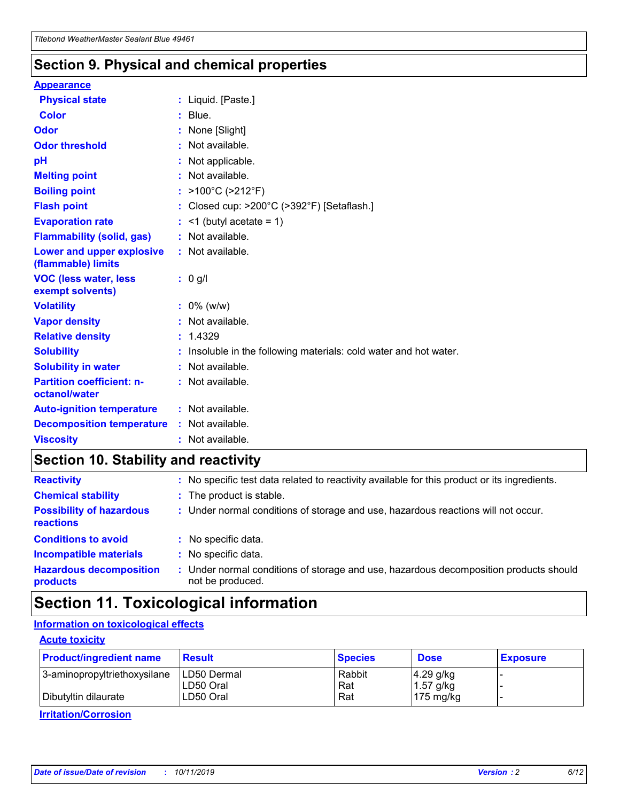### **Section 9. Physical and chemical properties**

#### **Appearance**

| <b>Physical state</b>                             | : Liquid. [Paste.]                                              |
|---------------------------------------------------|-----------------------------------------------------------------|
| <b>Color</b>                                      | $:$ Blue.                                                       |
| Odor                                              | None [Slight]                                                   |
| <b>Odor threshold</b>                             | : Not available.                                                |
| рH                                                | : Not applicable.                                               |
| <b>Melting point</b>                              | : Not available.                                                |
| <b>Boiling point</b>                              | : >100°C (>212°F)                                               |
| <b>Flash point</b>                                | : Closed cup: >200°C (>392°F) [Setaflash.]                      |
| <b>Evaporation rate</b>                           | $:$ <1 (butyl acetate = 1)                                      |
| <b>Flammability (solid, gas)</b>                  | : Not available.                                                |
| Lower and upper explosive<br>(flammable) limits   | : Not available.                                                |
| <b>VOC (less water, less</b>                      | $: 0$ g/l                                                       |
| exempt solvents)                                  |                                                                 |
| <b>Volatility</b>                                 | $: 0\%$ (w/w)                                                   |
| <b>Vapor density</b>                              | : Not available.                                                |
| <b>Relative density</b>                           | : 1.4329                                                        |
| <b>Solubility</b>                                 | Insoluble in the following materials: cold water and hot water. |
| <b>Solubility in water</b>                        | : Not available.                                                |
| <b>Partition coefficient: n-</b><br>octanol/water | $:$ Not available.                                              |
| <b>Auto-ignition temperature</b>                  | : Not available.                                                |
| <b>Decomposition temperature</b>                  | : Not available.                                                |

### **Section 10. Stability and reactivity**

| <b>Reactivity</b>                            | : No specific test data related to reactivity available for this product or its ingredients.            |
|----------------------------------------------|---------------------------------------------------------------------------------------------------------|
| <b>Chemical stability</b>                    | : The product is stable.                                                                                |
| <b>Possibility of hazardous</b><br>reactions | : Under normal conditions of storage and use, hazardous reactions will not occur.                       |
| <b>Conditions to avoid</b>                   | : No specific data.                                                                                     |
| <b>Incompatible materials</b>                | : No specific data.                                                                                     |
| <b>Hazardous decomposition</b><br>products   | Under normal conditions of storage and use, hazardous decomposition products should<br>not be produced. |

## **Section 11. Toxicological information**

### **Information on toxicological effects**

#### **Acute toxicity**

| <b>Product/ingredient name</b> | <b>Result</b> | <b>Species</b> | <b>Dose</b>         | <b>Exposure</b> |
|--------------------------------|---------------|----------------|---------------------|-----------------|
| 3-aminopropyltriethoxysilane   | ILD50 Dermal  | Rabbit         | $4.29$ g/kg         |                 |
|                                | ILD50 Oral    | Rat            | $1.57$ g/kg         |                 |
| Dibutyltin dilaurate           | LD50 Oral     | Rat            | $175 \text{ mg/kg}$ |                 |

**Irritation/Corrosion**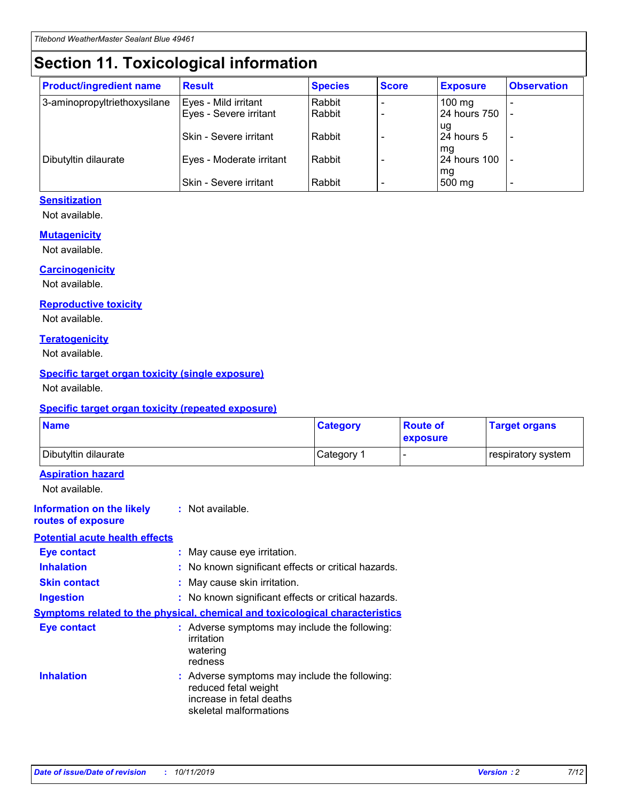## **Section 11. Toxicological information**

| <b>Product/ingredient name</b> | <b>Result</b>            | <b>Species</b> | <b>Score</b> | <b>Exposure</b>           | <b>Observation</b> |
|--------------------------------|--------------------------|----------------|--------------|---------------------------|--------------------|
| 3-aminopropyltriethoxysilane   | Eyes - Mild irritant     | Rabbit         |              | $100$ mg                  |                    |
|                                | Eyes - Severe irritant   | Rabbit         |              | 24 hours 750              |                    |
|                                |                          |                |              | ug                        |                    |
|                                | Skin - Severe irritant   | Rabbit         |              | 24 hours 5                | -                  |
| Dibutyltin dilaurate           | Eyes - Moderate irritant | Rabbit         |              | mq<br><b>24 hours 100</b> |                    |
|                                |                          |                |              | mg                        |                    |
|                                | Skin - Severe irritant   | Rabbit         |              | 500 mg                    |                    |

#### **Sensitization**

Not available.

#### **Mutagenicity**

Not available.

#### **Carcinogenicity**

Not available.

#### **Reproductive toxicity**

Not available.

#### **Teratogenicity**

Not available.

#### **Specific target organ toxicity (single exposure)**

Not available.

#### **Specific target organ toxicity (repeated exposure)**

| <b>Name</b>                                                                         |                                                                            | <b>Category</b>                                     | <b>Route of</b><br>exposure | <b>Target organs</b> |
|-------------------------------------------------------------------------------------|----------------------------------------------------------------------------|-----------------------------------------------------|-----------------------------|----------------------|
| Dibutyltin dilaurate                                                                |                                                                            | Category 1                                          | $\overline{\phantom{0}}$    | respiratory system   |
| <b>Aspiration hazard</b><br>Not available.                                          |                                                                            |                                                     |                             |                      |
| <b>Information on the likely</b><br>routes of exposure                              | : Not available.                                                           |                                                     |                             |                      |
| <b>Potential acute health effects</b>                                               |                                                                            |                                                     |                             |                      |
| <b>Eye contact</b>                                                                  | : May cause eye irritation.                                                |                                                     |                             |                      |
| <b>Inhalation</b>                                                                   |                                                                            | : No known significant effects or critical hazards. |                             |                      |
| <b>Skin contact</b>                                                                 | : May cause skin irritation.                                               |                                                     |                             |                      |
| <b>Ingestion</b>                                                                    |                                                                            | : No known significant effects or critical hazards. |                             |                      |
| <b>Symptoms related to the physical, chemical and toxicological characteristics</b> |                                                                            |                                                     |                             |                      |
| <b>Eye contact</b>                                                                  | irritation<br>watering<br>redness                                          | : Adverse symptoms may include the following:       |                             |                      |
| <b>Inhalation</b>                                                                   | reduced fetal weight<br>increase in fetal deaths<br>skeletal malformations | : Adverse symptoms may include the following:       |                             |                      |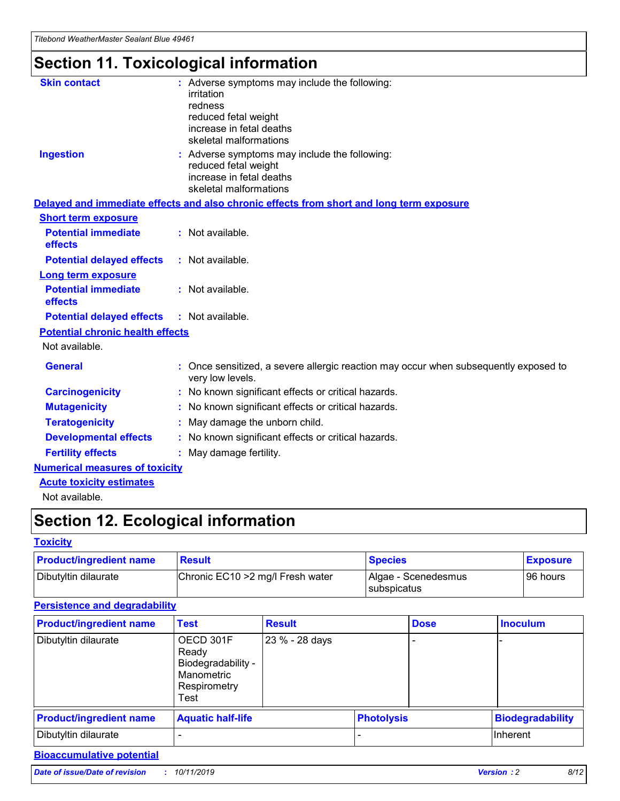## **Section 11. Toxicological information**

| <b>Skin contact</b>                     | : Adverse symptoms may include the following:<br>irritation<br>redness<br>reduced fetal weight<br>increase in fetal deaths<br>skeletal malformations |
|-----------------------------------------|------------------------------------------------------------------------------------------------------------------------------------------------------|
| <b>Ingestion</b>                        | : Adverse symptoms may include the following:<br>reduced fetal weight<br>increase in fetal deaths<br>skeletal malformations                          |
|                                         | Delayed and immediate effects and also chronic effects from short and long term exposure                                                             |
| <b>Short term exposure</b>              |                                                                                                                                                      |
| <b>Potential immediate</b><br>effects   | : Not available.                                                                                                                                     |
| <b>Potential delayed effects</b>        | : Not available.                                                                                                                                     |
| <b>Long term exposure</b>               |                                                                                                                                                      |
| <b>Potential immediate</b><br>effects   | : Not available.                                                                                                                                     |
| <b>Potential delayed effects</b>        | : Not available.                                                                                                                                     |
| <b>Potential chronic health effects</b> |                                                                                                                                                      |
| Not available.                          |                                                                                                                                                      |
| <b>General</b>                          | : Once sensitized, a severe allergic reaction may occur when subsequently exposed to<br>very low levels.                                             |
| <b>Carcinogenicity</b>                  | : No known significant effects or critical hazards.                                                                                                  |
| <b>Mutagenicity</b>                     | No known significant effects or critical hazards.                                                                                                    |
| <b>Teratogenicity</b>                   | May damage the unborn child.                                                                                                                         |
| <b>Developmental effects</b>            | No known significant effects or critical hazards.                                                                                                    |
| <b>Fertility effects</b>                | : May damage fertility.                                                                                                                              |
| <b>Numerical measures of toxicity</b>   |                                                                                                                                                      |
| <b>Acute toxicity estimates</b>         |                                                                                                                                                      |
|                                         |                                                                                                                                                      |

Not available.

## **Section 12. Ecological information**

#### **Toxicity**

| <b>Product/ingredient name</b> | <b>Result</b>                     | <b>Species</b>                       | <b>Exposure</b> |
|--------------------------------|-----------------------------------|--------------------------------------|-----------------|
| Dibutyltin dilaurate           | Chronic EC10 > 2 mg/l Fresh water | Algae - Scenedesmus<br>I subspicatus | l 96 hours i    |

### **Persistence and degradability**

| <b>Product/ingredient name</b> | <b>Test</b>                                                                    | <b>Result</b>  |                   | <b>Dose</b> | <b>Inoculum</b>         |
|--------------------------------|--------------------------------------------------------------------------------|----------------|-------------------|-------------|-------------------------|
| Dibutyltin dilaurate           | OECD 301F<br>Ready<br>Biodegradability -<br>Manometric<br>Respirometry<br>Test | 23 % - 28 days |                   |             |                         |
| <b>Product/ingredient name</b> | <b>Aquatic half-life</b>                                                       |                | <b>Photolysis</b> |             | <b>Biodegradability</b> |
| Dibutyltin dilaurate           |                                                                                |                |                   |             | Inherent                |

### **Bioaccumulative potential**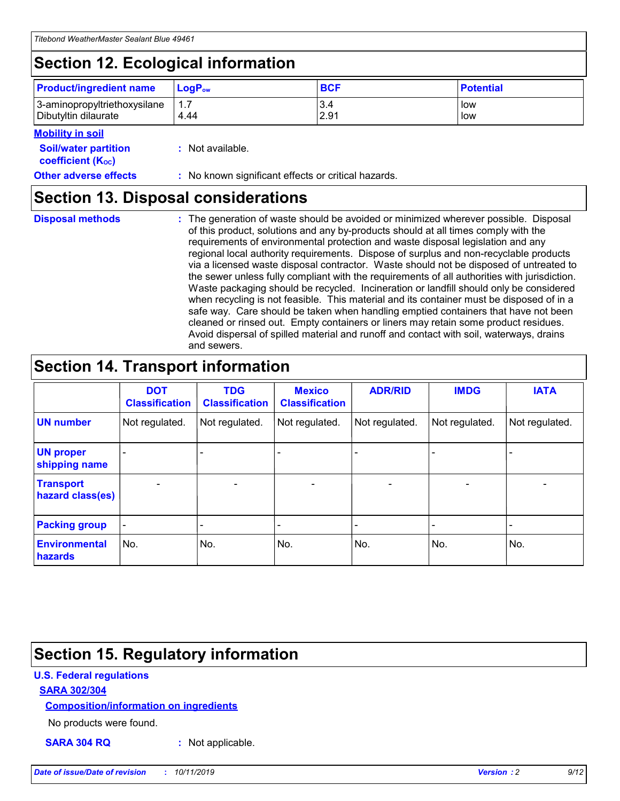## **Section 12. Ecological information**

| <b>Product/ingredient name</b> | $LoaPow$ | <b>BCF</b> | <b>Potential</b> |
|--------------------------------|----------|------------|------------------|
| 3-aminopropyltriethoxysilane   | 1.7      | 3.4        | low              |
| Dibutyltin dilaurate           | 4.44     | 2.91       | low              |

#### **Mobility in soil**

| <b>Soil/water partition</b><br>coefficient (K <sub>oc</sub> ) | : Not available.                                    |
|---------------------------------------------------------------|-----------------------------------------------------|
| <b>Other adverse effects</b>                                  | : No known significant effects or critical hazards. |

### **Section 13. Disposal considerations**

|  | <b>Disposal methods</b> |  |
|--|-------------------------|--|

**Disposal methods** : The generation of waste should be avoided or minimized wherever possible. Disposal of this product, solutions and any by-products should at all times comply with the requirements of environmental protection and waste disposal legislation and any regional local authority requirements. Dispose of surplus and non-recyclable products via a licensed waste disposal contractor. Waste should not be disposed of untreated to the sewer unless fully compliant with the requirements of all authorities with jurisdiction. Waste packaging should be recycled. Incineration or landfill should only be considered when recycling is not feasible. This material and its container must be disposed of in a safe way. Care should be taken when handling emptied containers that have not been cleaned or rinsed out. Empty containers or liners may retain some product residues. Avoid dispersal of spilled material and runoff and contact with soil, waterways, drains and sewers.

## **Section 14. Transport information**

|                                      | <b>DOT</b><br><b>Classification</b> | <b>TDG</b><br><b>Classification</b> | <b>Mexico</b><br><b>Classification</b> | <b>ADR/RID</b>           | <b>IMDG</b>              | <b>IATA</b>    |
|--------------------------------------|-------------------------------------|-------------------------------------|----------------------------------------|--------------------------|--------------------------|----------------|
| <b>UN number</b>                     | Not regulated.                      | Not regulated.                      | Not regulated.                         | Not regulated.           | Not regulated.           | Not regulated. |
| <b>UN proper</b><br>shipping name    | $\blacksquare$                      |                                     |                                        |                          |                          |                |
| <b>Transport</b><br>hazard class(es) | $\blacksquare$                      | $\overline{\phantom{a}}$            | $\overline{\phantom{a}}$               | $\overline{\phantom{a}}$ | $\overline{\phantom{a}}$ | $\blacksquare$ |
| <b>Packing group</b>                 | $\overline{\phantom{a}}$            | -                                   | -                                      | -                        |                          | -              |
| <b>Environmental</b><br>hazards      | No.                                 | No.                                 | No.                                    | No.                      | No.                      | No.            |

## **Section 15. Regulatory information**

#### **U.S. Federal regulations**

#### **SARA 302/304**

#### **Composition/information on ingredients**

No products were found.

**SARA 304 RQ :** Not applicable.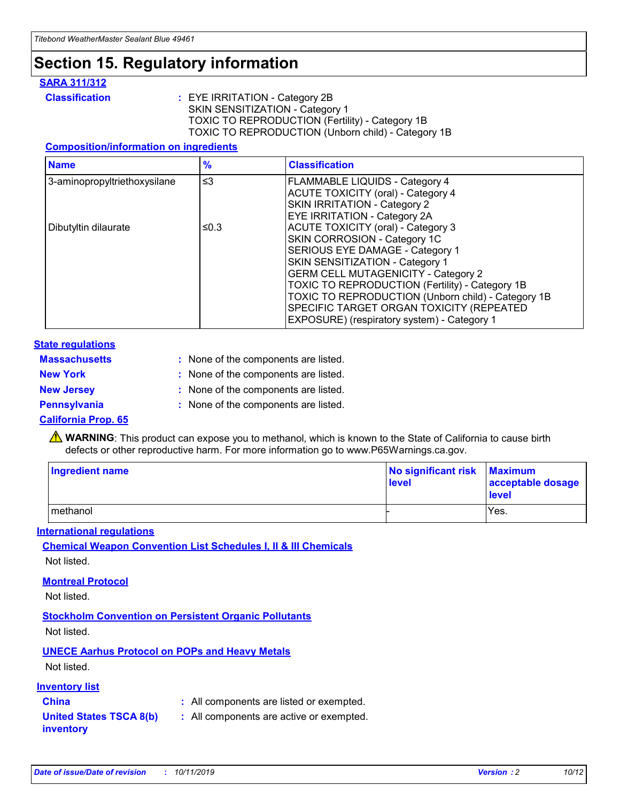## **Section 15. Regulatory information**

#### **SARA 311/312**

**Classification :** EYE IRRITATION - Category 2B SKIN SENSITIZATION - Category 1 TOXIC TO REPRODUCTION (Fertility) - Category 1B TOXIC TO REPRODUCTION (Unborn child) - Category 1B

#### **Composition/information on ingredients**

| <b>Name</b>                  | $\frac{9}{6}$ | <b>Classification</b>                                  |
|------------------------------|---------------|--------------------------------------------------------|
| 3-aminopropyltriethoxysilane | $\leq$ 3      | <b>FLAMMABLE LIQUIDS - Category 4</b>                  |
|                              |               | <b>ACUTE TOXICITY (oral) - Category 4</b>              |
|                              |               | SKIN IRRITATION - Category 2                           |
|                              |               | EYE IRRITATION - Category 2A                           |
| Dibutyltin dilaurate         | ≤0.3          | <b>ACUTE TOXICITY (oral) - Category 3</b>              |
|                              |               | SKIN CORROSION - Category 1C                           |
|                              |               | SERIOUS EYE DAMAGE - Category 1                        |
|                              |               | SKIN SENSITIZATION - Category 1                        |
|                              |               | <b>GERM CELL MUTAGENICITY - Category 2</b>             |
|                              |               | <b>TOXIC TO REPRODUCTION (Fertility) - Category 1B</b> |
|                              |               | TOXIC TO REPRODUCTION (Unborn child) - Category 1B     |
|                              |               | SPECIFIC TARGET ORGAN TOXICITY (REPEATED               |
|                              |               | EXPOSURE) (respiratory system) - Category 1            |

#### **State regulations**

| <b>Massachusetts</b> | : None of the components are listed. |
|----------------------|--------------------------------------|
| <b>New York</b>      | : None of the components are listed. |
| <b>New Jersey</b>    | : None of the components are listed. |
| <b>Pennsylvania</b>  | : None of the components are listed. |

#### **California Prop. 65**

**A** WARNING: This product can expose you to methanol, which is known to the State of California to cause birth defects or other reproductive harm. For more information go to www.P65Warnings.ca.gov.

| <b>Ingredient name</b> | No significant risk Maximum<br>level | acceptable dosage<br>level |
|------------------------|--------------------------------------|----------------------------|
| methanol               |                                      | Yes.                       |

#### **International regulations**

**Chemical Weapon Convention List Schedules I, II & III Chemicals** Not listed.

#### **Montreal Protocol**

Not listed.

**Stockholm Convention on Persistent Organic Pollutants**

Not listed.

### **UNECE Aarhus Protocol on POPs and Heavy Metals**

Not listed.

#### **Inventory list**

### **China :** All components are listed or exempted.

**United States TSCA 8(b) inventory :** All components are active or exempted.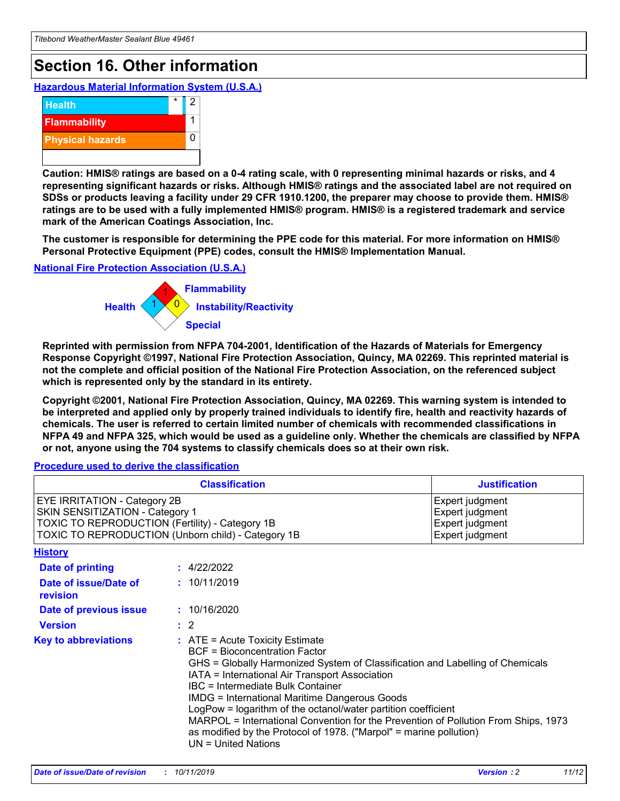## **Section 16. Other information**

**Hazardous Material Information System (U.S.A.)**



**Caution: HMIS® ratings are based on a 0-4 rating scale, with 0 representing minimal hazards or risks, and 4 representing significant hazards or risks. Although HMIS® ratings and the associated label are not required on SDSs or products leaving a facility under 29 CFR 1910.1200, the preparer may choose to provide them. HMIS® ratings are to be used with a fully implemented HMIS® program. HMIS® is a registered trademark and service mark of the American Coatings Association, Inc.**

**The customer is responsible for determining the PPE code for this material. For more information on HMIS® Personal Protective Equipment (PPE) codes, consult the HMIS® Implementation Manual.**

#### **National Fire Protection Association (U.S.A.)**



**Reprinted with permission from NFPA 704-2001, Identification of the Hazards of Materials for Emergency Response Copyright ©1997, National Fire Protection Association, Quincy, MA 02269. This reprinted material is not the complete and official position of the National Fire Protection Association, on the referenced subject which is represented only by the standard in its entirety.**

**Copyright ©2001, National Fire Protection Association, Quincy, MA 02269. This warning system is intended to be interpreted and applied only by properly trained individuals to identify fire, health and reactivity hazards of chemicals. The user is referred to certain limited number of chemicals with recommended classifications in NFPA 49 and NFPA 325, which would be used as a guideline only. Whether the chemicals are classified by NFPA or not, anyone using the 704 systems to classify chemicals does so at their own risk.**

#### **Procedure used to derive the classification**

|                                                                                                                    | <b>Classification</b>                                                                                                                                                                                                                                                                                                                                                                                                                                                                                                                                         | <b>Justification</b>                                                     |
|--------------------------------------------------------------------------------------------------------------------|---------------------------------------------------------------------------------------------------------------------------------------------------------------------------------------------------------------------------------------------------------------------------------------------------------------------------------------------------------------------------------------------------------------------------------------------------------------------------------------------------------------------------------------------------------------|--------------------------------------------------------------------------|
| EYE IRRITATION - Category 2B<br>SKIN SENSITIZATION - Category 1<br>TOXIC TO REPRODUCTION (Fertility) - Category 1B | TOXIC TO REPRODUCTION (Unborn child) - Category 1B                                                                                                                                                                                                                                                                                                                                                                                                                                                                                                            | Expert judgment<br>Expert judgment<br>Expert judgment<br>Expert judgment |
| <b>History</b>                                                                                                     |                                                                                                                                                                                                                                                                                                                                                                                                                                                                                                                                                               |                                                                          |
| <b>Date of printing</b>                                                                                            | : 4/22/2022                                                                                                                                                                                                                                                                                                                                                                                                                                                                                                                                                   |                                                                          |
| Date of issue/Date of<br>revision                                                                                  | : 10/11/2019                                                                                                                                                                                                                                                                                                                                                                                                                                                                                                                                                  |                                                                          |
| Date of previous issue                                                                                             | : 10/16/2020                                                                                                                                                                                                                                                                                                                                                                                                                                                                                                                                                  |                                                                          |
| <b>Version</b>                                                                                                     | $\therefore$ 2                                                                                                                                                                                                                                                                                                                                                                                                                                                                                                                                                |                                                                          |
| <b>Key to abbreviations</b>                                                                                        | $:$ ATE = Acute Toxicity Estimate<br><b>BCF</b> = Bioconcentration Factor<br>GHS = Globally Harmonized System of Classification and Labelling of Chemicals<br>IATA = International Air Transport Association<br>IBC = Intermediate Bulk Container<br><b>IMDG = International Maritime Dangerous Goods</b><br>LogPow = logarithm of the octanol/water partition coefficient<br>MARPOL = International Convention for the Prevention of Pollution From Ships, 1973<br>as modified by the Protocol of 1978. ("Marpol" = marine pollution)<br>UN = United Nations |                                                                          |